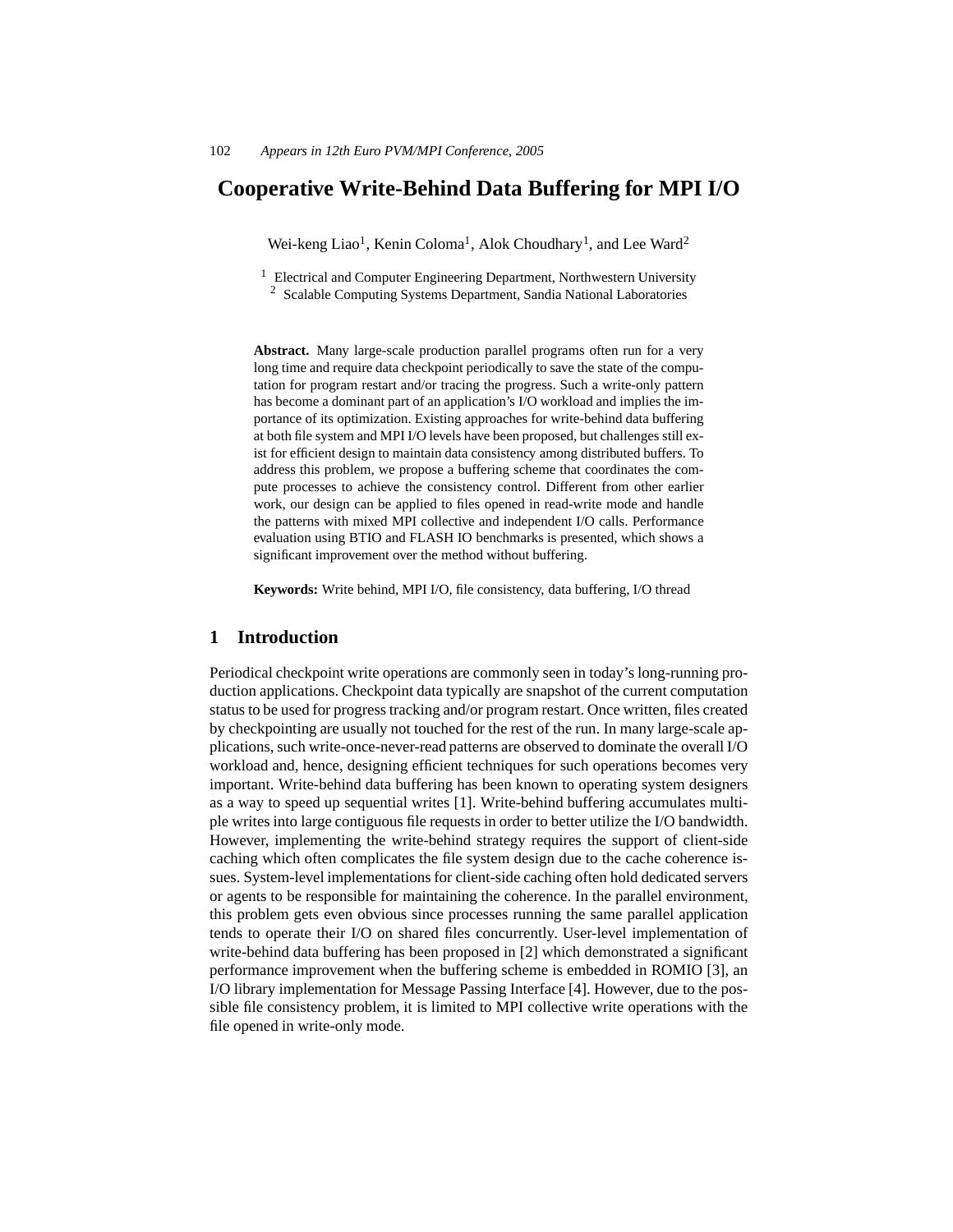# **Cooperative Write-Behind Data Buffering for MPI I/O**

Wei-keng Liao<sup>1</sup>, Kenin Coloma<sup>1</sup>, Alok Choudhary<sup>1</sup>, and Lee Ward<sup>2</sup>

 $1$  Electrical and Computer Engineering Department, Northwestern University <sup>2</sup> Scalable Computing Systems Department, Sandia National Laboratories

**Abstract.** Many large-scale production parallel programs often run for a very long time and require data checkpoint periodically to save the state of the computation for program restart and/or tracing the progress. Such a write-only pattern has become a dominant part of an application's I/O workload and implies the importance of its optimization. Existing approaches for write-behind data buffering at both file system and MPI I/O levels have been proposed, but challenges still exist for efficient design to maintain data consistency among distributed buffers. To address this problem, we propose a buffering scheme that coordinates the compute processes to achieve the consistency control. Different from other earlier work, our design can be applied to files opened in read-write mode and handle the patterns with mixed MPI collective and independent I/O calls. Performance evaluation using BTIO and FLASH IO benchmarks is presented, which shows a significant improvement over the method without buffering.

**Keywords:** Write behind, MPI I/O, file consistency, data buffering, I/O thread

## **1 Introduction**

Periodical checkpoint write operations are commonly seen in today's long-running production applications. Checkpoint data typically are snapshot of the current computation status to be used for progress tracking and/or program restart. Once written, files created by checkpointing are usually not touched for the rest of the run. In many large-scale applications,such write-once-never-read patterns are observed to dominate the overall I/O workload and, hence, designing efficient techniques for such operations becomes very important. Write-behind data buffering has been known to operating system designers as a way to speed up sequential writes [1]. Write-behind buffering accumulates multiple writes into large contiguous file requests in order to better utilize the I/O bandwidth. However, implementing the write-behind strategy requires the support of client-side caching which often complicates the file system design due to the cache coherence issues. System-levelimplementations for client-side caching often hold dedicated servers or agents to be responsible for maintaining the coherence. In the parallel environment, this problem gets even obvious since processes running the same parallel application tends to operate their I/O on shared files concurrently. User-level implementation of write-behind data buffering has been proposed in [2] which demonstrated a significant performance improvement when the buffering scheme is embedded in ROMIO [3], an I/O library implementation for Message Passing Interface [4]. However, due to the possible file consistency problem, it is limited to MPI collective write operations with the file opened in write-only mode.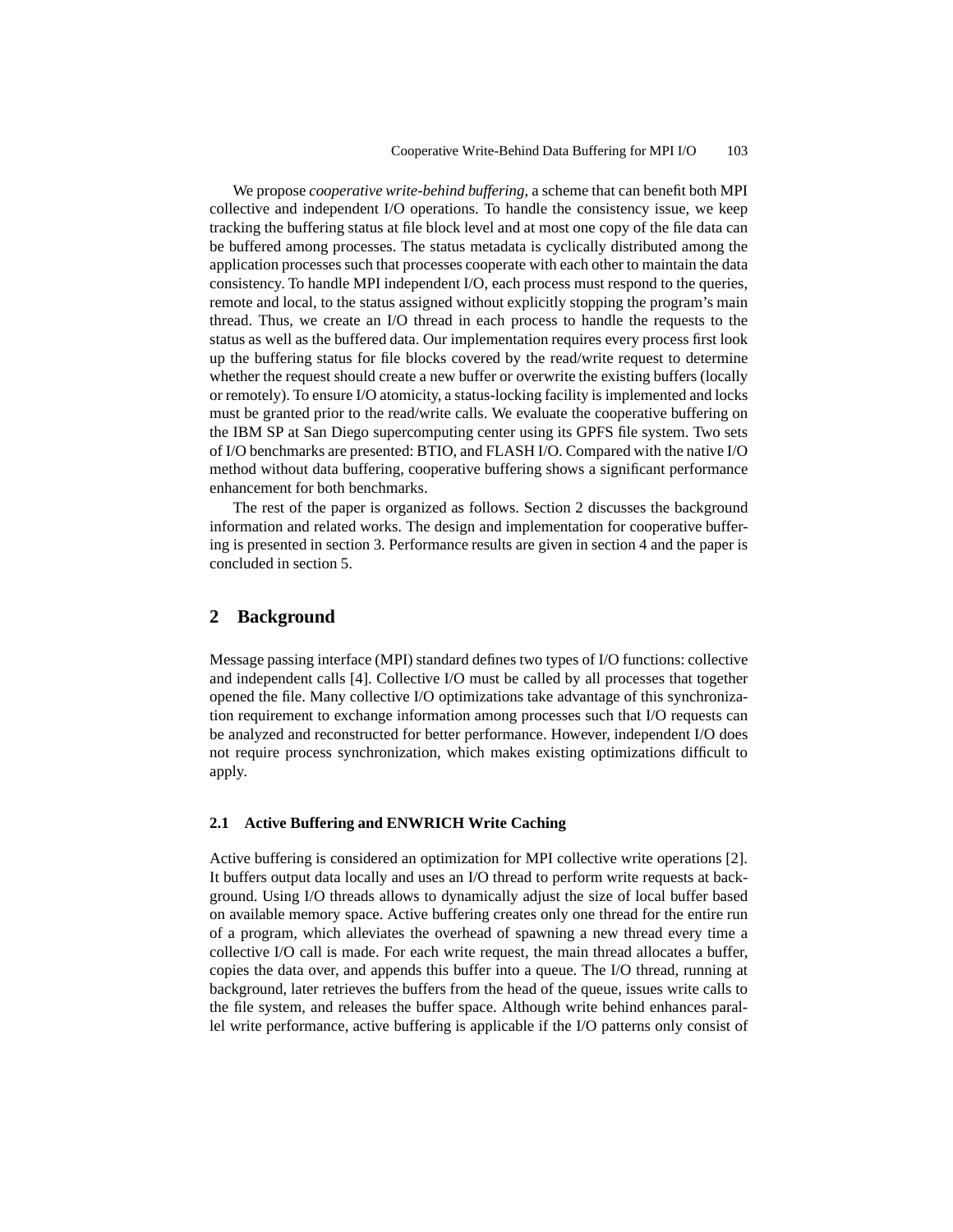We propose *cooperative write-behind buffering*, a scheme that can benefit both MPI collective and independent I/O operations. To handle the consistency issue, we keep tracking the buffering status at file block level and at most one copy of the file data can be buffered among processes. The status metadata is cyclically distributed among the application processes such that processes cooperate with each other to maintain the data consistency. To handle MPI independent I/O, each process must respond to the queries, remote and local, to the status assigned without explicitly stopping the program's main thread. Thus, we create an I/O thread in each process to handle the requests to the status as well as the buffered data. Our implementation requires every process first look up the buffering status for file blocks covered by the read/write request to determine whether the request should create a new buffer or overwrite the existing buffers (locally or remotely). To ensure I/O atomicity, a status-locking facility is implemented and locks must be granted prior to the read/write calls. We evaluate the cooperative buffering on the IBM SP at San Diego supercomputing center using its GPFS file system. Two sets of I/O benchmarks are presented: BTIO, andFLASH I/O. Compared with the native I/O method without data buffering, cooperative buffering shows a significant performance enhancement for both benchmarks.

The rest of the paper is organized as follows. Section 2 discusses the background information and related works. The design and implementation for cooperative buffering is presented in section 3. Performance results are given in section 4 and the paper is concluded in section 5.

## **2 Background**

Message passing interface (MPI) standard defines two types of I/O functions: collective and independent calls [4]. Collective I/O must be called by all processes that together opened the file. Many collective I/O optimizations take advantage of this synchronization requirement to exchange information among processes such that I/O requests can be analyzed and reconstructed for better performance. However, independent I/O does not require process synchronization, which makes existing optimizations difficult to apply.

### **2.1 Active Buffering and ENWRICH Write Caching**

Active buffering is considered an optimization for MPI collective write operations [2]. It buffers output data locally and uses an I/O thread to perform write requests at background. Using I/O threads allows to dynamically adjust the size of local buffer based on available memory space. Active buffering creates only one thread for the entire run of a program, which alleviates the overhead of spawning a new thread every time a collective I/O call is made. For each write request, the main thread allocates a buffer, copies the data over, and appends this buffer into a queue. The I/O thread, running at background, later retrieves the buffers from the head of the queue, issues write calls to the file system, and releases the buffer space. Although write behind enhances parallel write performance, active buffering is applicable if the I/O patterns only consist of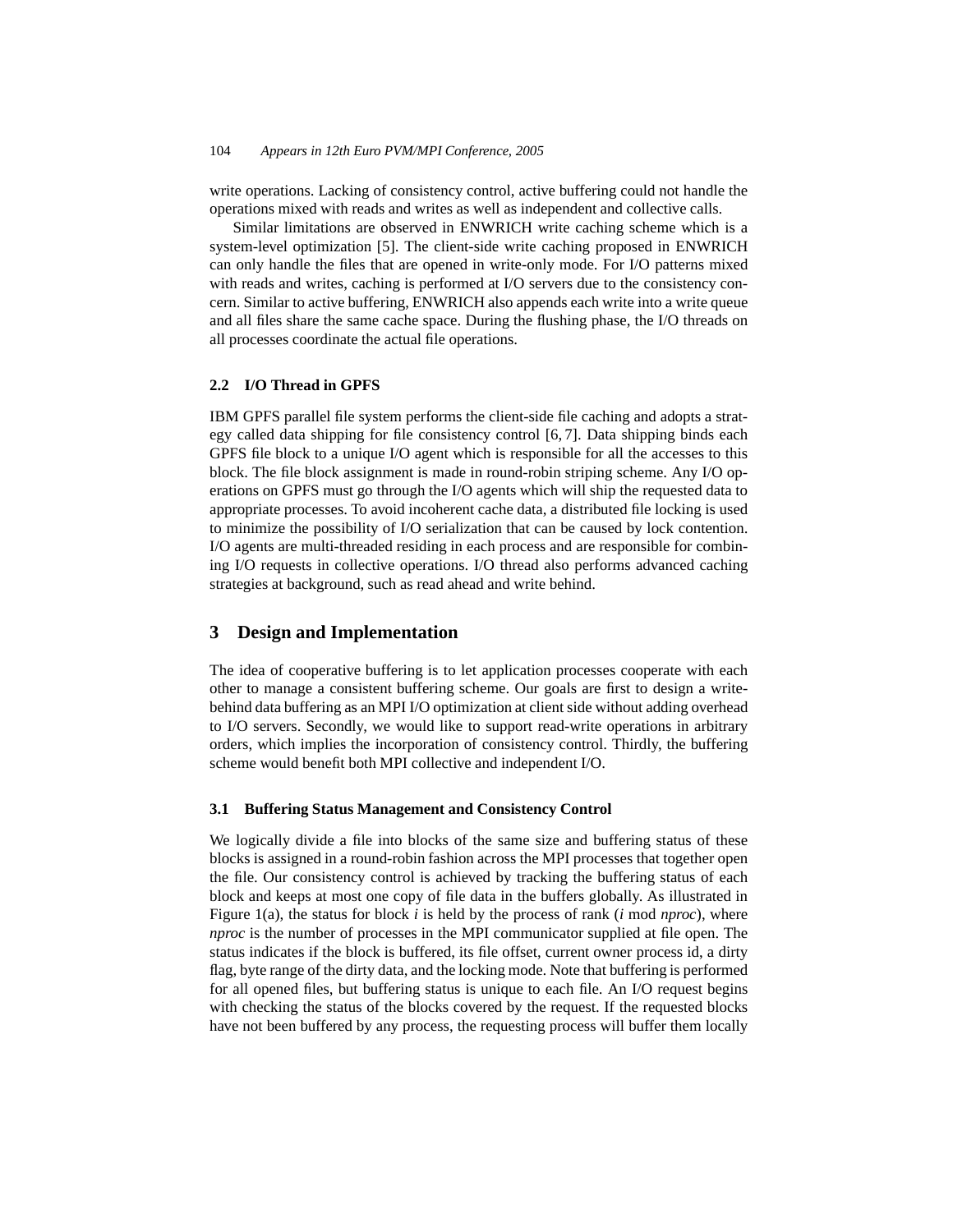#### 104 *Appears in 12th Euro PVM/MPI Conference, 2005*

write operations. Lacking of consistency control, active buffering could not handle the operations mixed with reads and writes as well as independent and collective calls.

Similar limitations are observed in ENWRICH write caching scheme which is a system-level optimization [5]. The client-side write caching proposed in ENWRICH can only handle the files that are opened in write-only mode. For I/O patterns mixed with reads and writes, caching is performed at I/O servers due to the consistency concern. Similar to active buffering, ENWRICH also appends each write into a write queue and all files share the same cache space. During the flushing phase, the I/O threads on all processes coordinate the actual file operations.

### **2.2 I/O Thread in GPFS**

IBM GPFS parallel file system performs the client-side file caching and adopts a strategy called data shipping for file consistency control [6, 7]. Data shipping binds each GPFS file block to a unique I/O agent which is responsible for all the accesses to this block. The file block assignment is made in round-robin striping scheme. Any I/O operations on GPFS must go through the I/O agents which will ship the requested data to appropriate processes. To avoid incoherent cache data, a distributed file locking is used to minimize the possibility of I/O serialization that can be caused by lock contention. I/O agents are multi-threaded residing in each process and are responsible for combining I/O requests in collective operations. I/O thread also performs advanced caching strategies at background, such as read ahead and write behind.

# **3 Design and Implementation**

The idea of cooperative buffering is to let application processes cooperate with each other to manage a consistent buffering scheme. Our goals are first to design a writebehind data buffering as an MPI I/O optimization at client side without adding overhead to I/O servers. Secondly, we would like to support read-write operations in arbitrary orders, which implies the incorporation of consistency control. Thirdly, the buffering scheme would benefit both MPI collective and independent I/O.

# **3.1 Buffering Status Management and Consistency Control**

We logically divide a file into blocks of the same size and buffering status of these blocks is assigned in a round-robin fashion across the MPI processes that together open the file. Our consistency control is achieved by tracking the buffering status of each block and keeps at most one copy of file data in the buffers globally. As illustrated in Figure 1(a), the status for block *i* is held by the process of rank (*i* mod *nproc*), where *nproc* is the number of processes in the MPI communicator supplied at file open. The status indicates if the block is buffered, its file offset, current owner process id, a dirty flag, byte range of the dirty data, and the locking mode. Note that buffering is performed for all opened files, but buffering status is unique to each file. An I/O request begins with checking the status of the blocks covered by the request. If the requested blocks have not been buffered by any process, the requesting process will buffer them locally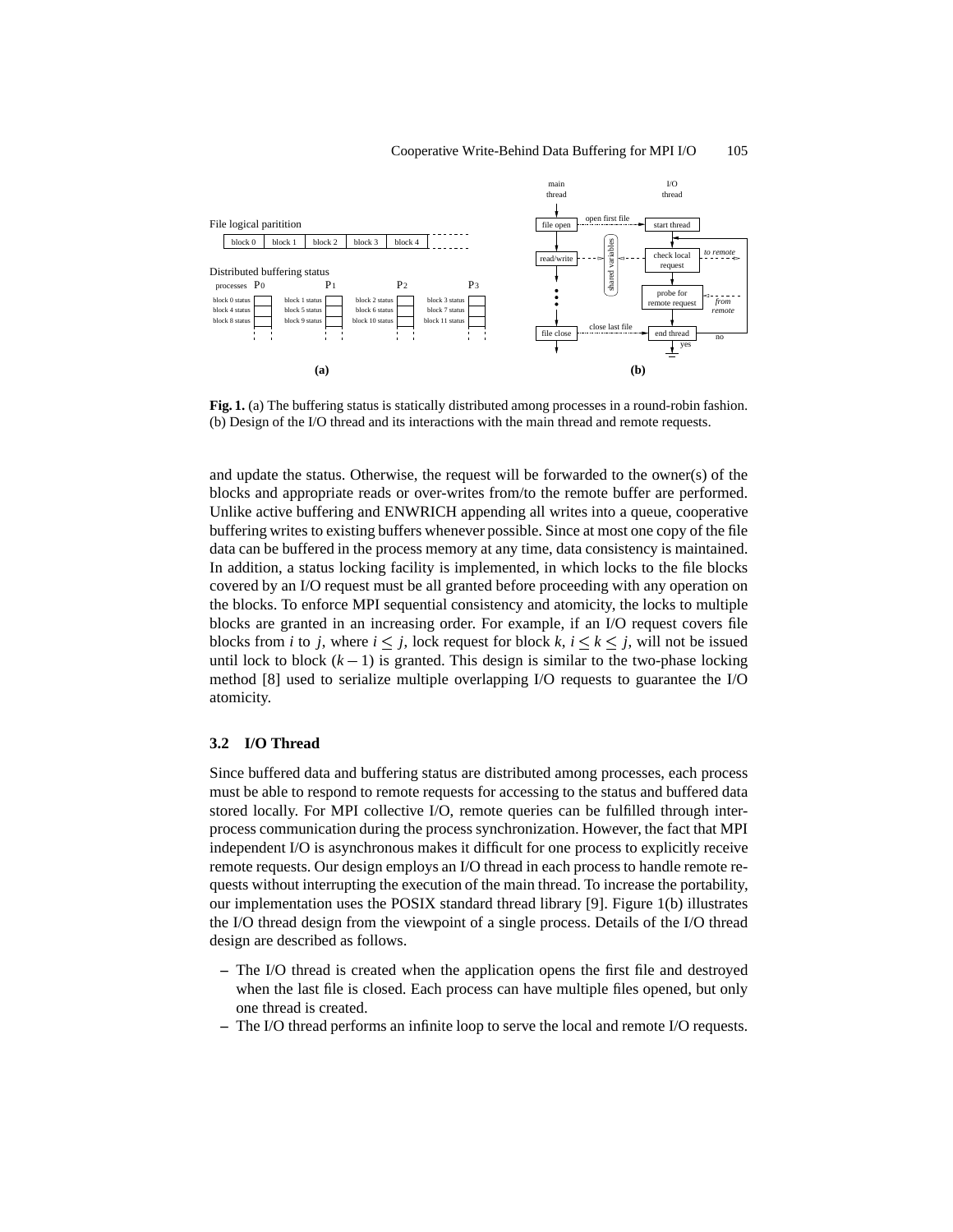

**Fig. 1.** (a) The buffering status is statically distributed among processes in a round-robin fashion. (b) Design of the I/O thread and its interactions with the main thread and remote requests.

and update the status. Otherwise, the request will be forwarded to the owner(s) of the blocks and appropriate reads or over-writes from/to the remote buffer are performed. Unlike active buffering and ENWRICH appending all writes into a queue, cooperative buffering writes to existing buffers whenever possible. Since at most one copy of the file data can be buffered in the process memory at any time, data consistency is maintained. In addition, a status locking facility is implemented, in which locks to the file blocks covered by an I/O request must be all granted before proceeding with any operation on the blocks. To enforce MPI sequential consistency and atomicity, the locks to multiple blocks are granted in an increasing order. For example, if an I/O request covers file blocks from *i* to *j*, where  $i \leq j$ , lock request for block  $k$ ,  $i \leq k \leq j$ , will not be issued until lock to block  $(k - 1)$  is granted. This design is similar to the two-phase locking method [8] used to serialize multiple overlapping I/O requests to guarantee the I/O atomicity.

### **3.2 I/O Thread**

Since buffered data and buffering status are distributed among processes, each process must be able to respond to remote requests for accessing to the status and buffered data stored locally. For MPI collective I/O, remote queries can be fulfilled through interprocess communication during the process synchronization. However,the fact that MPI independent I/O is asynchronous makes it difficult for one process to explicitly receive remote requests. Our design employs an I/O thread in each process to handle remote requests withoutinterrupting the execution of the main thread. To increase the portability, our implementation uses the POSIX standard thread library [9]. Figure 1(b) illustrates the I/O thread design from the viewpoint of a single process. Details of the I/O thread design are described as follows.

- **–** The I/O thread is created when the application opens the first file and destroyed when the last file is closed. Each process can have multiple files opened, but only one thread is created.
- **–** The I/O thread performs an infinite loop to serve the local and remote I/O requests.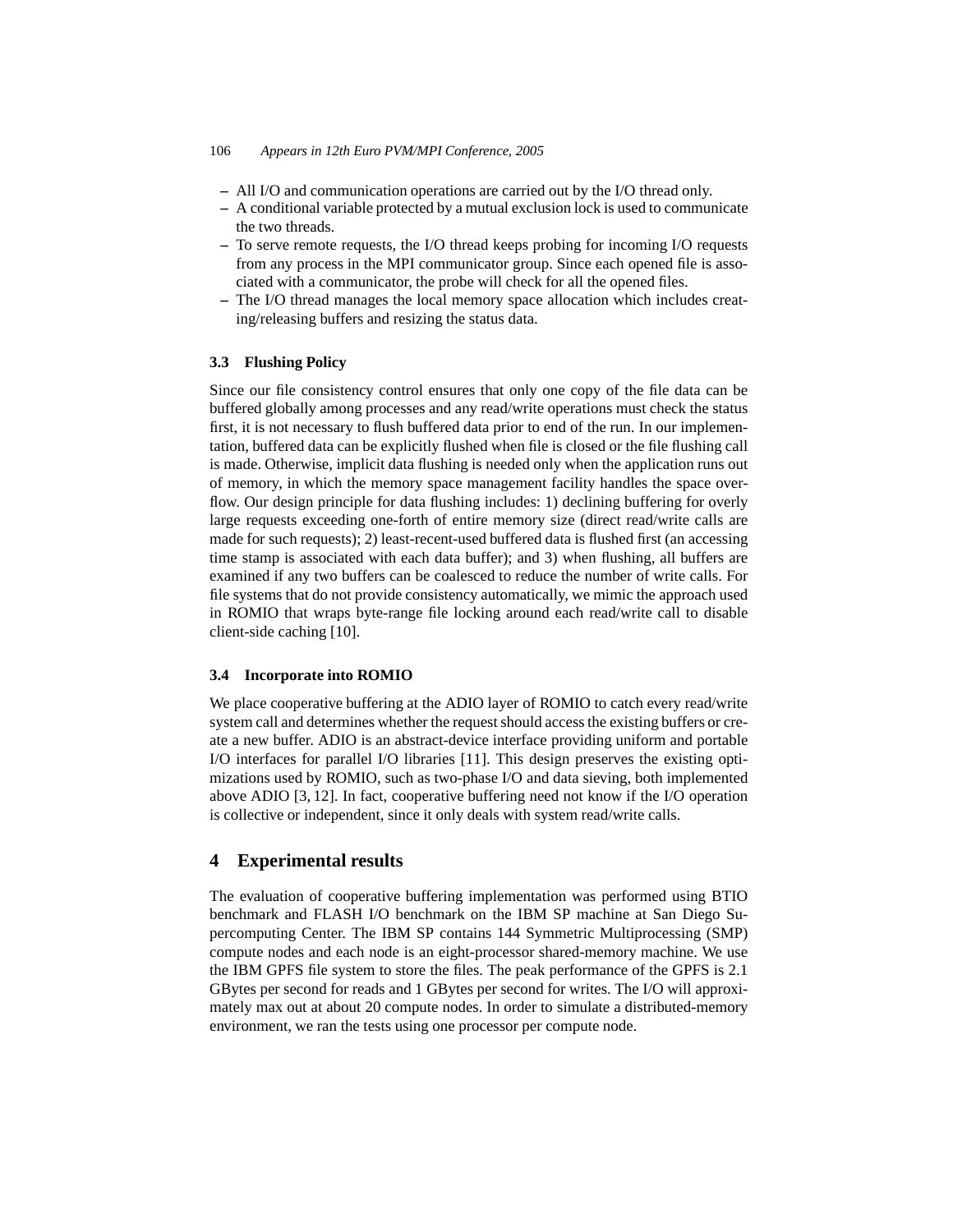#### 106 *Appears in 12th Euro PVM/MPI Conference, 2005*

- **–** All I/O and communication operations are carried out by the I/O thread only.
- **–** A conditional variable protected by a mutual exclusion lock is used to communicate the two threads.
- **–** To serve remote requests, the I/O thread keeps probing for incoming I/O requests from any process in the MPI communicator group. Since each opened file is associated with a communicator, the probe will check for all the opened files.
- **–** The I/O thread manages the local memory space allocation which includes creating/releasing buffers and resizing the status data.

### **3.3 Flushing Policy**

Since our file consistency control ensures that only one copy of the file data can be buffered globally among processes and any read/write operations must check the status first, it is not necessary to flush buffered data prior to end of the run. In our implementation, buffered data can be explicitly flushed when file is closed or the file flushing call is made. Otherwise, implicit data flushing is needed only when the application runs out of memory, in which the memory space management facility handles the space overflow. Our design principle for data flushing includes: 1) declining buffering for overly large requests exceeding one-forth of entire memory size (direct read/write calls are made for such requests); 2) least-recent-used buffered data is flushed first (an accessing time stamp is associated with each data buffer); and 3) when flushing, all buffers are examined if any two buffers can be coalesced to reduce the number of write calls. For file systems that do not provide consistency automatically, we mimic the approach used in ROMIO that wraps byte-range file locking around each read/write call to disable client-side caching [10].

### **3.4 Incorporate into ROMIO**

We place cooperative buffering at the ADIO layer of ROMIO to catch every read/write system call and determines whether the request should access the existing buffers or create a new buffer. ADIO is an abstract-device interface providing uniform and portable I/O interfaces for parallel I/O libraries [11]. This design preserves the existing optimizations used by ROMIO, such as two-phase I/O and data sieving, both implemented above ADIO [3, 12]. In fact, cooperative buffering need not know if the I/O operation is collective or independent, since it only deals with system read/write calls.

### **4 Experimental results**

The evaluation of cooperative buffering implementation was performed using BTIO benchmark and FLASH I/O benchmark on the IBM SP machine at San Diego Supercomputing Center. The IBM SP contains 144 Symmetric Multiprocessing (SMP) compute nodes and each node is an eight-processor shared-memory machine. We use the IBM GPFS file system to store the files. The peak performance of the GPFS is 2.1 GBytes per second for reads and 1 GBytes per second for writes. The I/O will approximately max out at about 20 compute nodes. In order to simulate a distributed-memory environment, we ran the tests using one processor per compute node.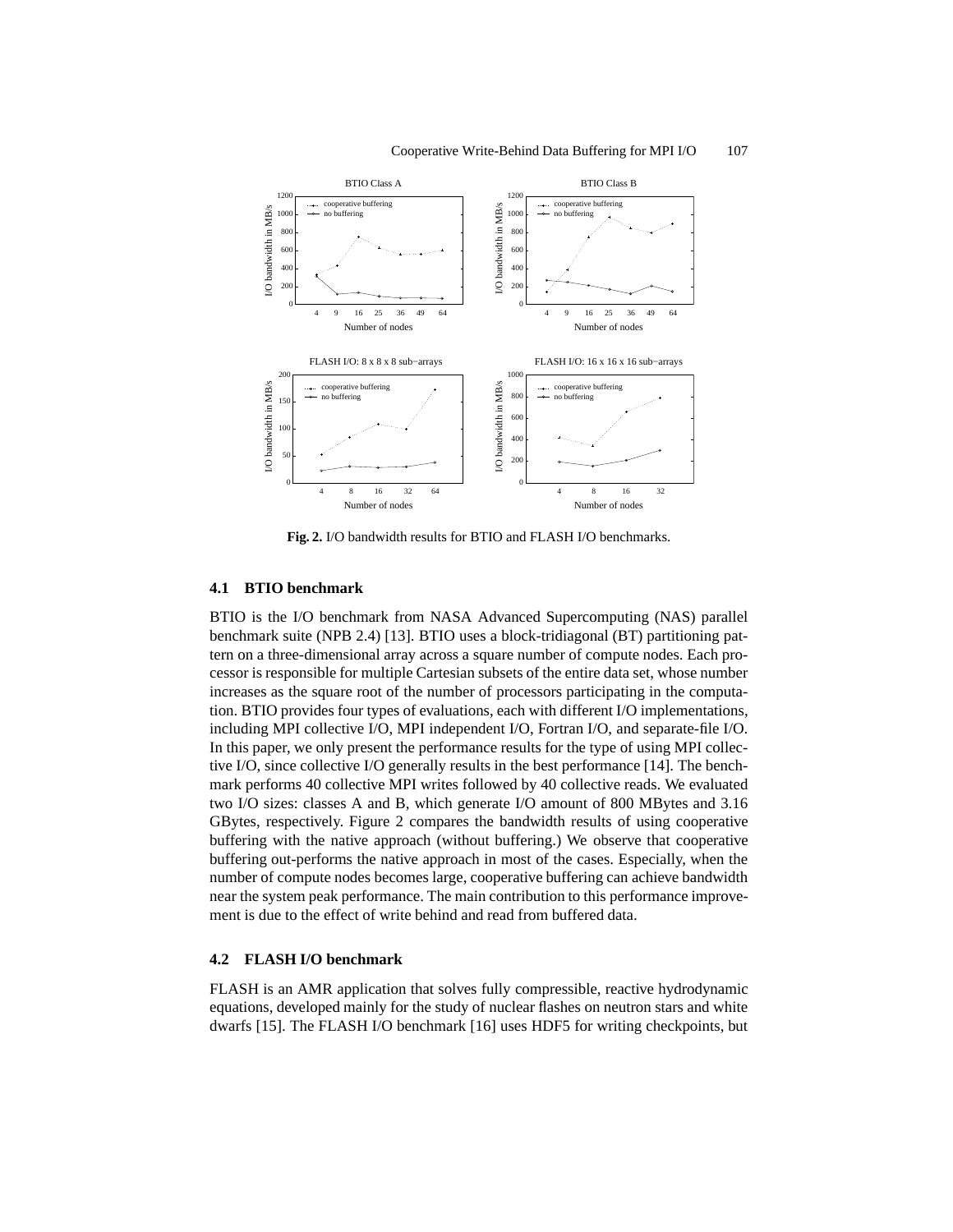

**Fig. 2.** I/O bandwidth results for BTIO and FLASH I/O benchmarks.

#### **4.1 BTIO benchmark**

BTIO is the I/O benchmark from NASA Advanced Supercomputing (NAS) parallel benchmark suite (NPB 2.4) [13]. BTIO uses a block-tridiagonal (BT) partitioning pattern on a three-dimensional array across a square number of compute nodes. Each processor is responsible for multiple Cartesian subsets of the entire data set, whose number increases as the square root of the number of processors participating in the computation. BTIO provides four types of evaluations, each with different I/O implementations, including MPI collective I/O, MPI independent I/O, Fortran I/O, and separate-file I/O. In this paper, we only present the performance results for the type of using MPI collective I/O, since collective I/O generally results in the best performance [14]. The benchmark performs 40 collective MPI writes followed by 40 collective reads. We evaluated two I/O sizes: classes A and B, which generate I/O amount of 800 MBytes and 3.16 GBytes, respectively. Figure 2 compares the bandwidth results of using cooperative buffering with the native approach (without buffering.) We observe that cooperative buffering out-performs the native approach in most of the cases. Especially, when the number of compute nodes becomes large, cooperative buffering can achieve bandwidth near the system peak performance. The main contribution to this performance improvement is due to the effect of write behind and read from buffered data.

### **4.2 FLASH I/O benchmark**

FLASH is an AMR application that solves fully compressible, reactive hydrodynamic equations, developed mainly for the study of nuclear flashes on neutron stars and white dwarfs [15]. The FLASH I/O benchmark [16] uses HDF5 for writing checkpoints, but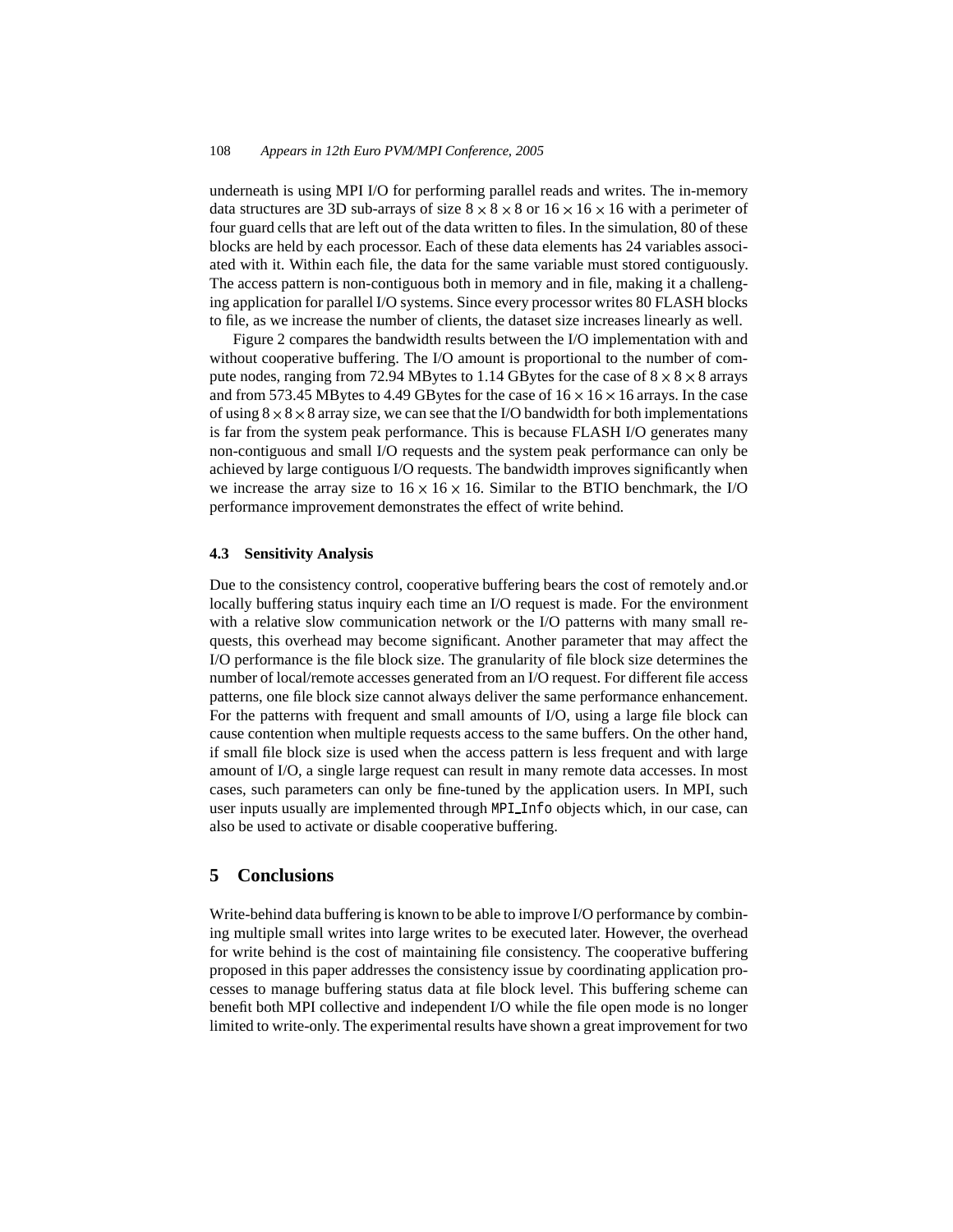#### 108 *Appears in 12th Euro PVM/MPI Conference, 2005*

underneath is using MPI I/O for performing parallel reads and writes. The in-memory data structures are 3D sub-arrays of size  $8 \times 8 \times 8$  or  $16 \times 16 \times 16$  with a perimeter of four guard cells that are left out of the data written to files. In the simulation, 80 of these blocks are held by each processor. Each of these data elements has 24 variables associated with it. Within each file, the data for the same variable must stored contiguously. The access pattern is non-contiguous both in memory and in file, making it a challenging application for parallel I/O systems. Since every processor writes 80 FLASH blocks to file, as we increase the number of clients, the dataset size increases linearly as well.

Figure 2 compares the bandwidth results between the I/O implementation with and without cooperative buffering. The I/O amount is proportional to the number of compute nodes, ranging from 72.94 MBytes to 1.14 GBytes for the case of  $8 \times 8 \times 8$  arrays and from 573.45 MBytes to 4.49 GBytes for the case of  $16 \times 16 \times 16$  arrays. In the case of using  $8 \times 8 \times 8$  array size, we can see that the I/O bandwidth for both implementations is far from the system peak performance. This is because FLASH I/O generates many non-contiguous and small I/O requests and the system peak performance can only be achieved by large contiguous I/O requests. The bandwidth improves significantly when we increase the array size to  $16 \times 16 \times 16$ . Similar to the BTIO benchmark, the I/O performance improvement demonstrates the effect of write behind.

### **4.3 Sensitivity Analysis**

Due to the consistency control, cooperative buffering bears the cost of remotely and.or locally buffering status inquiry each time an I/O request is made. For the environment with a relative slow communication network or the I/O patterns with many small requests, this overhead may become significant. Another parameter that may affect the I/O performance is the file block size. The granularity of file block size determines the number of local/remote accesses generated from an I/O request. For different file access patterns, one file block size cannot always deliver the same performance enhancement. For the patterns with frequent and small amounts of I/O, using a large file block can cause contention when multiple requests access to the same buffers. On the other hand, if small file block size is used when the access pattern is less frequent and with large amount of I/O, a single large request can result in many remote data accesses. In most cases, such parameters can only be fine-tuned by the application users. In MPI, such user inputs usually are implemented through MPI Info objects which, in our case, can also be used to activate or disable cooperative buffering.

# **5 Conclusions**

Write-behind data buffering is known to be able to improve I/O performance by combining multiple small writes into large writes to be executed later. However, the overhead for write behind is the cost of maintaining file consistency. The cooperative buffering proposed in this paper addresses the consistency issue by coordinating application processes to manage buffering status data at file block level. This buffering scheme can benefit both MPI collective and independent I/O while the file open mode is no longer limited to write-only. The experimental results have shown a great improvement for two